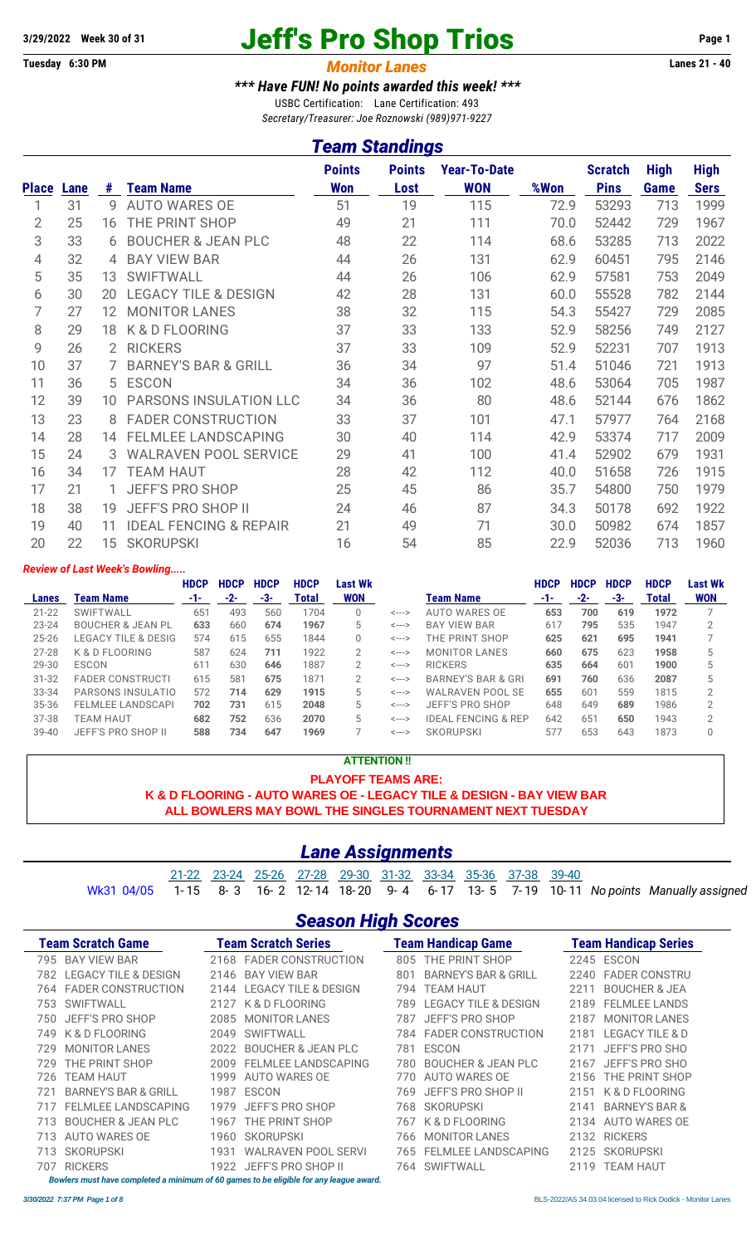# **3/29/2022** Week 30 of 31 **Jeff's Pro Shop Trios** Page 1<br> **Tuesday 6:30 PM Age 1**<br> **Monitor Lanes** 21 - 40

#### **Monitor Lanes**

#### *\*\*\* Have FUN! No points awarded this week! \*\*\**

USBC Certification: Lane Certification: 493 *Secretary/Treasurer: Joe Roznowski (989)971-9227*

#### *Team Standings*

| <b>Place</b>   | Lane | #               | <b>Team Name</b>                  | <b>Points</b><br><b>Won</b> | <b>Points</b><br>Lost | <b>Year-To-Date</b><br><b>WON</b> | %Won | <b>Scratch</b><br><b>Pins</b> | <b>High</b><br>Game | <b>High</b><br><b>Sers</b> |
|----------------|------|-----------------|-----------------------------------|-----------------------------|-----------------------|-----------------------------------|------|-------------------------------|---------------------|----------------------------|
|                | 31   | 9               | <b>AUTO WARES OE</b>              | 51                          | 19                    | 115                               | 72.9 | 53293                         | 713                 | 1999                       |
| $\overline{2}$ | 25   | 16              | THE PRINT SHOP                    | 49                          | 21                    | 111                               | 70.0 | 52442                         | 729                 | 1967                       |
| 3              | 33   | 6               | <b>BOUCHER &amp; JEAN PLC</b>     | 48                          | 22                    | 114                               | 68.6 | 53285                         | 713                 | 2022                       |
| 4              | 32   | 4               | <b>BAY VIEW BAR</b>               | 44                          | 26                    | 131                               | 62.9 | 60451                         | 795                 | 2146                       |
| 5              | 35   | 13              | <b>SWIFTWALL</b>                  | 44                          | 26                    | 106                               | 62.9 | 57581                         | 753                 | 2049                       |
| 6              | 30   | 20              | <b>LEGACY TILE &amp; DESIGN</b>   | 42                          | 28                    | 131                               | 60.0 | 55528                         | 782                 | 2144                       |
| 7              | 27   | 12              | <b>MONITOR LANES</b>              | 38                          | 32                    | 115                               | 54.3 | 55427                         | 729                 | 2085                       |
| 8              | 29   | 18              | K & D FLOORING                    | 37                          | 33                    | 133                               | 52.9 | 58256                         | 749                 | 2127                       |
| 9              | 26   | 2               | <b>RICKERS</b>                    | 37                          | 33                    | 109                               | 52.9 | 52231                         | 707                 | 1913                       |
| 10             | 37   | 7               | <b>BARNEY'S BAR &amp; GRILL</b>   | 36                          | 34                    | 97                                | 51.4 | 51046                         | 721                 | 1913                       |
| 11             | 36   | 5               | <b>ESCON</b>                      | 34                          | 36                    | 102                               | 48.6 | 53064                         | 705                 | 1987                       |
| 12             | 39   | 10              | PARSONS INSULATION LLC            | 34                          | 36                    | 80                                | 48.6 | 52144                         | 676                 | 1862                       |
| 13             | 23   | 8               | <b>FADER CONSTRUCTION</b>         | 33                          | 37                    | 101                               | 47.1 | 57977                         | 764                 | 2168                       |
| 14             | 28   | 14              | <b>FELMLEE LANDSCAPING</b>        | 30                          | 40                    | 114                               | 42.9 | 53374                         | 717                 | 2009                       |
| 15             | 24   | 3               | <b>WALRAVEN POOL SERVICE</b>      | 29                          | 41                    | 100                               | 41.4 | 52902                         | 679                 | 1931                       |
| 16             | 34   | 17              | <b>TEAM HAUT</b>                  | 28                          | 42                    | 112                               | 40.0 | 51658                         | 726                 | 1915                       |
| 17             | 21   |                 | <b>JEFF'S PRO SHOP</b>            | 25                          | 45                    | 86                                | 35.7 | 54800                         | 750                 | 1979                       |
| 18             | 38   | 19              | <b>JEFF'S PRO SHOP II</b>         | 24                          | 46                    | 87                                | 34.3 | 50178                         | 692                 | 1922                       |
| 19             | 40   | 11              | <b>IDEAL FENCING &amp; REPAIR</b> | 21                          | 49                    | 71                                | 30.0 | 50982                         | 674                 | 1857                       |
| 20             | 22   | 15 <sup>1</sup> | <b>SKORUPSKI</b>                  | 16                          | 54                    | 85                                | 22.9 | 52036                         | 713                 | 1960                       |

#### *Review of Last Week's Bowling.....*

|           |                              | <b>HDCP</b>     | <b>HDCP</b> | <b>HDCP</b> | <b>HDCP</b> | Last Wk        |                            |                                | <b>HDCP</b> | <b>HDCP</b> | <b>HDCP</b> | <b>HDCP</b> | <b>Last Wk</b> |
|-----------|------------------------------|-----------------|-------------|-------------|-------------|----------------|----------------------------|--------------------------------|-------------|-------------|-------------|-------------|----------------|
| Lanes     | Team Name                    | -1-             | -2-         | -3-         | Total       | <b>WON</b>     |                            | Team Name                      | -1-         | $-2-$       | -3-         | Total       | <b>WON</b>     |
| $21 - 22$ | SWIFTWALL                    | $65^{\circ}$    | 493         | 560         | 1704        | 0              | $\leftarrow$ $\rightarrow$ | AUTO WARES OE                  | 653         | 700         | 619         | 1972        |                |
| $23 - 24$ | <b>BOUCHER &amp; JEAN PL</b> | 633             | 660         | 674         | 1967        | 5              | $\leftarrow$ $\rightarrow$ | <b>BAY VIEW BAR</b>            | 617         | 795         | 535         | 1947        |                |
| $25 - 26$ | LEGACY TILE & DESIG          | 574             | 615         | 655         | 1844        | 0              | $\leftarrow$ $\rightarrow$ | THE PRINT SHOP                 | 625         | 621         | 695         | 1941        |                |
| 27-28     | K & D FLOORING               | 587             | 624         | 711         | 1922        | 2              | <--->                      | <b>MONITOR LANES</b>           | 660         | 675         | 623         | 1958        |                |
| 29-30     | ESCON                        | 61 <sup>7</sup> | 630         | 646         | 1887        | 2              | <--->                      | <b>RICKERS</b>                 | 635         | 664         | 601         | 1900        |                |
| $31 - 32$ | <b>FADER CONSTRUCTI</b>      | 615             | 581         | 675         | 1871        | $\overline{2}$ | $\leftarrow$ $\rightarrow$ | <b>BARNEY'S BAR &amp; GRI</b>  | 691         | 760         | 636         | 2087        |                |
| 33-34     | PARSONS INSULATIO            | 572             | 714         | 629         | 1915        | 5              | $\leftarrow$ $\rightarrow$ | <b>WALRAVEN POOL SE</b>        | 655         | 601         | 559         | 1815        | C              |
| 35-36     | <b>FELMLEE LANDSCAPI</b>     | 702             | 731         | 615         | 2048        | 5              | <--->                      | JEFF'S PRO SHOP                | 648         | 649         | 689         | 1986        | C              |
| 37-38     | TEAM HAUT                    | 682             | 752         | 636         | 2070        | 5              | <--->                      | <b>IDEAL FENCING &amp; REP</b> | 642         | 651         | 650         | 1943        | 2              |
| $39 - 40$ | JEFF'S PRO SHOP II           | 588             | 734         | 647         | 1969        |                | $\leftarrow$ $\rightarrow$ | <b>SKORUPSKI</b>               | 577         | 653         | 643         | 1873        |                |

#### **ATTENTION !! PLAYOFF TEAMS ARE: K & D FLOORING - AUTO WARES OE - LEGACY TILE & DESIGN - BAY VIEW BAR ALL BOWLERS MAY BOWL THE SINGLES TOURNAMENT NEXT TUESDAY**

#### *Lane Assignments*

|  |  | 21-22 23-24 25-26 27-28 29-30 31-32 33-34 35-36 37-38 39-40 |  |  |  |                                                                                           |
|--|--|-------------------------------------------------------------|--|--|--|-------------------------------------------------------------------------------------------|
|  |  |                                                             |  |  |  | Wk31 04/05 1-15 8-3 16-2 12-14 18-20 9-4 6-17 13-5 7-19 10-11 No points Manually assigned |

#### *Season High Scores*

| <b>Team Scratch Game</b>        | <b>Team Scratch Series</b>      | <b>Team Handicap Game</b>       | <b>Team Handicap Series</b> |  |  |
|---------------------------------|---------------------------------|---------------------------------|-----------------------------|--|--|
| BAY VIEW BAR                    | <b>FADER CONSTRUCTION</b>       | THE PRINT SHOP                  | ESCON                       |  |  |
| 795                             | 2168                            | 805                             | 2245                        |  |  |
| <b>LEGACY TILE &amp; DESIGN</b> | <b>BAY VIEW BAR</b>             | <b>BARNEY'S BAR &amp; GRILL</b> | <b>FADER CONSTRU</b>        |  |  |
| 782                             | 2146                            | 801                             | 2240                        |  |  |
| 764 FADER CONSTRUCTION          | <b>LEGACY TILE &amp; DESIGN</b> | <b>TEAM HAUT</b>                | <b>BOUCHER &amp; JEA</b>    |  |  |
|                                 | 2144                            | 794                             | 221                         |  |  |
| <b>SWIFTWALL</b>                | K & D FLOORING                  | <b>LEGACY TILE &amp; DESIGN</b> | <b>FELMLEE LANDS</b>        |  |  |
| 753                             | 2127                            | 789.                            | 2189                        |  |  |
| JEFF'S PRO SHOP                 | <b>MONITOR LANES</b>            | JEFF'S PRO SHOP                 | <b>MONITOR LANES</b>        |  |  |
| 750.                            | 2085                            | 787.                            | 2187                        |  |  |
| K & D FLOORING                  | SWIFTWALL                       | 784 FADER CONSTRUCTION          | <b>LEGACY TILE &amp; D</b>  |  |  |
| 749                             | 2049                            |                                 | 2181                        |  |  |
| <b>MONITOR LANES</b>            | <b>BOUCHER &amp; JEAN PLC</b>   | <b>ESCON</b>                    | JEFF'S PRO SHO              |  |  |
| 729                             | 2022                            | 781                             | 2171                        |  |  |
| THE PRINT SHOP                  | <b>FELMLEE LANDSCAPING</b>      | <b>BOUCHER &amp; JEAN PLC</b>   | JEFF'S PRO SHO              |  |  |
| 729                             | 2009                            | 780.                            | 2167                        |  |  |
| <b>TEAM HAUT</b>                | AUTO WARES OE                   | AUTO WARES OE                   | THE PRINT SHOP              |  |  |
| 726                             | 1999                            | 770.                            | 2156                        |  |  |
| <b>BARNEY'S BAR &amp; GRILL</b> | ESCON                           | JEFF'S PRO SHOP II              | K & D FLOORING              |  |  |
| 721                             | 1987                            | 769.                            | 2151                        |  |  |
| FELMLEE LANDSCAPING             | JEFF'S PRO SHOP                 | <b>SKORUPSKI</b>                | <b>BARNEY'S BAR &amp;</b>   |  |  |
| 717                             | 1979                            | 768                             | 2141                        |  |  |
| <b>BOUCHER &amp; JEAN PLC</b>   | THE PRINT SHOP                  | K & D FLOORING                  | AUTO WARES OE               |  |  |
| 713.                            | 1967                            | 767                             | 2134                        |  |  |
| AUTO WARES OE                   | <b>SKORUPSKI</b>                | <b>MONITOR LANES</b>            | <b>RICKERS</b>              |  |  |
| 713                             | 1960                            | 766.                            | 2132                        |  |  |
| <b>SKORUPSKI</b>                | WALRAVEN POOL SERVI             | 765                             | <b>SKORUPSKI</b>            |  |  |
| 713                             | 1931                            | <b>FELMLEE LANDSCAPING</b>      | 2125                        |  |  |
| <b>RICKERS</b>                  | JEFF'S PRO SHOP II              | SWIFTWALL                       | <b>TEAM HAUT</b>            |  |  |
| 707                             | 1922                            | 764                             | 2119                        |  |  |

*Bowlers must have completed a minimum of 60 games to be eligible for any league award.*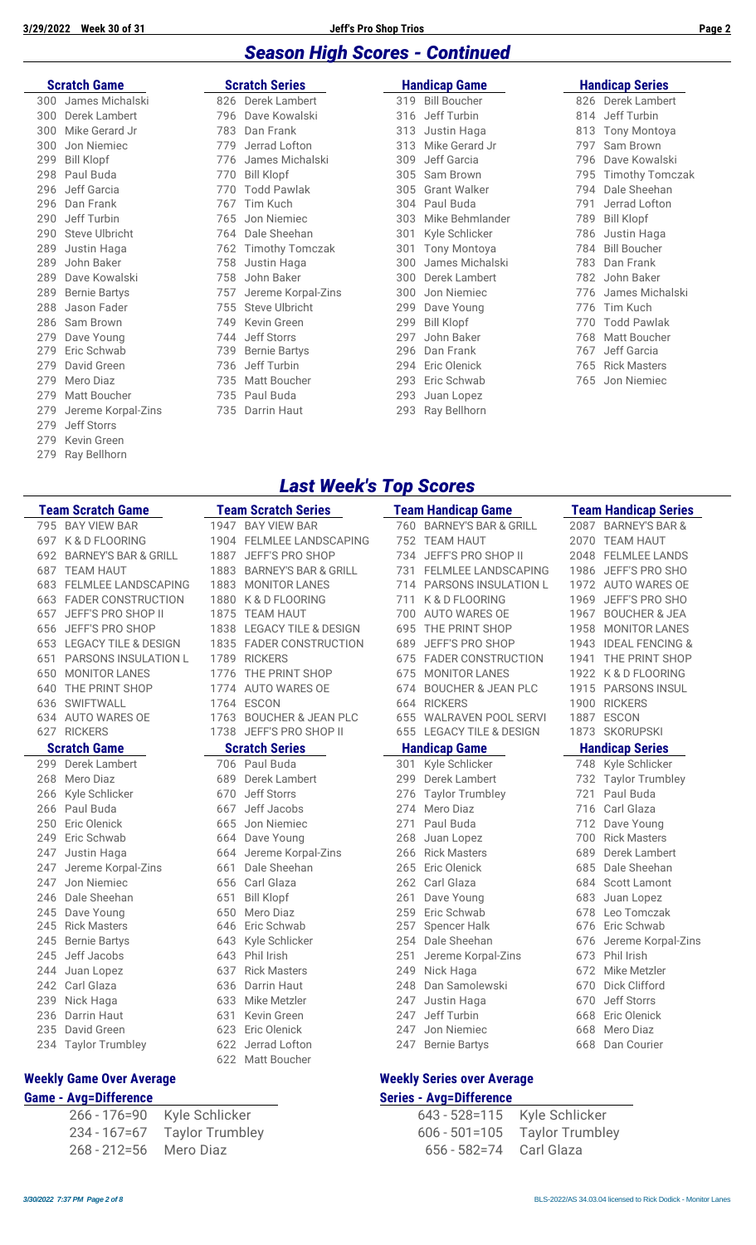#### *Season High Scores - Continued*

#### **Scratch Game Seratch Series**

|     | 300 James Michalski |
|-----|---------------------|
|     | 300 Derek Lambert   |
|     | 300 Mike Gerard Jr  |
|     | 300 Jon Niemiec     |
|     | 299 Bill Klopf      |
|     | 298 Paul Buda       |
| 296 | Jeff Garcia         |
|     | 296 Dan Frank       |
|     | 290 Jeff Turbin     |
|     | 290 Steve Ulbricht  |
| 289 | Justin Haga         |
| 289 | John Baker          |
| 289 | Dave Kowalski       |
|     | 289 Bernie Bartys   |
| 288 | Jason Fader         |
|     | 286 Sam Brown       |
|     | 279 Dave Young      |
| 279 | Eric Schwab         |
| 279 | David Green         |
| 279 | Mero Diaz           |
|     | 279 Matt Boucher    |
| 279 | Jereme Korpal-Zin   |
| 279 | Jeff Storrs         |
|     | 279 Kevin Green     |
| 279 | Ray Bellhorn        |

|     | <b>Scratch Game</b>                |     | <b>Scratch Series</b> |     | <b>Handicap Game</b> |     | <b>Handicap Series</b> |  |  |
|-----|------------------------------------|-----|-----------------------|-----|----------------------|-----|------------------------|--|--|
| 300 | James Michalski                    |     | 826 Derek Lambert     |     | 319 Bill Boucher     |     | 826 Derek Lambert      |  |  |
| 300 | Derek Lambert                      | 796 | Dave Kowalski         | 316 | Jeff Turbin          | 814 | Jeff Turbin            |  |  |
| 300 | Mike Gerard Jr                     | 783 | Dan Frank             | 313 | Justin Haga          | 813 | <b>Tony Montoya</b>    |  |  |
| 300 | Jon Niemiec                        | 779 | Jerrad Lofton         | 313 | Mike Gerard Jr       | 797 | Sam Brown              |  |  |
| 299 | <b>Bill Klopf</b>                  | 776 | James Michalski       | 309 | Jeff Garcia          | 796 | Dave Kowalski          |  |  |
|     | 298 Paul Buda                      | 770 | <b>Bill Klopf</b>     | 305 | Sam Brown            | 795 | <b>Timothy Tomczak</b> |  |  |
| 296 | Jeff Garcia                        | 770 | <b>Todd Pawlak</b>    | 305 | <b>Grant Walker</b>  | 794 | Dale Sheehan           |  |  |
|     | 296 Dan Frank                      | 767 | Tim Kuch              |     | 304 Paul Buda        | 791 | Jerrad Lofton          |  |  |
| 290 | Jeff Turbin                        | 765 | Jon Niemiec           | 303 | Mike Behmlander      | 789 | <b>Bill Klopf</b>      |  |  |
| 290 | Steve Ulbricht                     |     | 764 Dale Sheehan      | 301 | Kyle Schlicker       | 786 | Justin Haga            |  |  |
| 289 | Justin Haga                        |     | 762 Timothy Tomczak   | 301 | <b>Tony Montoya</b>  | 784 | <b>Bill Boucher</b>    |  |  |
| 289 | John Baker                         | 758 | Justin Haga           | 300 | James Michalski      | 783 | Dan Frank              |  |  |
| 289 | Dave Kowalski                      | 758 | John Baker            | 300 | Derek Lambert        | 782 | John Baker             |  |  |
| 289 | <b>Bernie Bartys</b>               | 757 | Jereme Korpal-Zins    | 300 | Jon Niemiec          | 776 | James Michalski        |  |  |
| 288 | Jason Fader                        | 755 | Steve Ulbricht        | 299 | Dave Young           | 776 | Tim Kuch               |  |  |
|     | 286 Sam Brown                      | 749 | Kevin Green           | 299 | <b>Bill Klopf</b>    | 770 | <b>Todd Pawlak</b>     |  |  |
| 279 | Dave Young                         | 744 | Jeff Storrs           | 297 | John Baker           | 768 | <b>Matt Boucher</b>    |  |  |
| 279 | Eric Schwab                        | 739 | <b>Bernie Bartys</b>  | 296 | Dan Frank            | 767 | Jeff Garcia            |  |  |
| 279 | David Green                        | 736 | Jeff Turbin           | 294 | Eric Olenick         | 765 | <b>Rick Masters</b>    |  |  |
| 279 | Mero Diaz                          | 735 | <b>Matt Boucher</b>   | 293 | Eric Schwab          | 765 | Jon Niemiec            |  |  |
| 279 | Matt Boucher                       |     | 735 Paul Buda         | 293 | Juan Lopez           |     |                        |  |  |
| 279 | Jereme Korpal-Zins                 | 735 | Darrin Haut           |     | 293 Ray Bellhorn     |     |                        |  |  |
|     | $\sim$ $\sim$ $\sim$ $\sim$ $\sim$ |     |                       |     |                      |     |                        |  |  |

|     | <b>Handicap Series</b> |
|-----|------------------------|
|     | 826 Derek Lambert      |
|     | 814 Jeff Turbin        |
|     | 813 Tony Montoya       |
|     | 797 Sam Brown          |
|     | 796 Dave Kowalski      |
| 795 | <b>Timothy Tomczak</b> |
|     | 794 Dale Sheehan       |
| 791 | Jerrad Lofton          |
|     | 789 Bill Klopf         |
| 786 | Justin Haga            |
|     | 784 Bill Boucher       |
|     | 783 Dan Frank          |
|     | 782 John Baker         |
|     | 776 James Michalski    |
|     | 776 Tim Kuch           |
|     | 770 Todd Pawlak        |
|     | 768 Matt Boucher       |
|     | 767 Jeff Garcia        |
|     | 765 Rick Masters       |
| 765 | Ion Niemiec            |

#### *Last Week's Top Scores*

|     | <b>Team Scratch Game</b>        |      | <b>Team Scratch Series</b>      |     | <b>Team Handicap Game</b>     |      | <b>Team Handicap Series</b> |
|-----|---------------------------------|------|---------------------------------|-----|-------------------------------|------|-----------------------------|
|     | 795 BAY VIEW BAR                |      | 1947 BAY VIEW BAR               |     | 760 BARNEY'S BAR & GRILL      |      | 2087 BARNEY'S BAR &         |
| 697 | K & D FLOORING                  |      | 1904 FELMLEE LANDSCAPING        |     | 752 TEAM HAUT                 |      | 2070 TEAM HAUT              |
| 692 | <b>BARNEY'S BAR &amp; GRILL</b> | 1887 | JEFF'S PRO SHOP                 |     | 734 JEFF'S PRO SHOP II        | 2048 | <b>FELMLEE LANDS</b>        |
| 687 | <b>TEAM HAUT</b>                | 1883 | <b>BARNEY'S BAR &amp; GRILL</b> | 731 | <b>FELMLEE LANDSCAPING</b>    |      | 1986 JEFF'S PRO SHO         |
| 683 | <b>FELMLEE LANDSCAPING</b>      | 1883 | <b>MONITOR LANES</b>            | 714 | <b>PARSONS INSULATION L</b>   |      | 1972 AUTO WARES OE          |
| 663 | <b>FADER CONSTRUCTION</b>       |      | 1880 K&D FLOORING               | 711 | K & D FLOORING                | 1969 | JEFF'S PRO SHO              |
| 657 | JEFF'S PRO SHOP II              | 1875 | TEAM HAUT                       | 700 | AUTO WARES OE                 | 1967 | <b>BOUCHER &amp; JEA</b>    |
| 656 | JEFF'S PRO SHOP                 | 1838 | LEGACY TILE & DESIGN            | 695 | THE PRINT SHOP                | 1958 | <b>MONITOR LANES</b>        |
| 653 | <b>LEGACY TILE &amp; DESIGN</b> |      | 1835 FADER CONSTRUCTION         | 689 | JEFF'S PRO SHOP               | 1943 | <b>IDEAL FENCING &amp;</b>  |
| 651 | PARSONS INSULATION L            |      | 1789 RICKERS                    |     | 675 FADER CONSTRUCTION        |      | 1941 THE PRINT SHOP         |
| 650 | <b>MONITOR LANES</b>            | 1776 | THE PRINT SHOP                  | 675 | <b>MONITOR LANES</b>          |      | 1922 K&D FLOORING           |
| 640 | THE PRINT SHOP                  |      | 1774 AUTO WARES OE              | 674 | <b>BOUCHER &amp; JEAN PLC</b> |      | 1915 PARSONS INSUL          |
| 636 | SWIFTWALL                       |      | 1764 ESCON                      |     | 664 RICKERS                   |      | 1900 RICKERS                |
| 634 | <b>AUTO WARES OE</b>            | 1763 | <b>BOUCHER &amp; JEAN PLC</b>   |     | 655 WALRAVEN POOL SERVI       | 1887 | ESCON                       |
|     | 627 RICKERS                     |      | 1738 JEFF'S PRO SHOP II         |     | 655 LEGACY TILE & DESIGN      |      | 1873 SKORUPSKI              |
|     | <b>Scratch Game</b>             |      | <b>Scratch Series</b>           |     | <b>Handicap Game</b>          |      | <b>Handicap Series</b>      |
| 299 | Derek Lambert                   |      | 706 Paul Buda                   | 301 | Kyle Schlicker                |      | 748 Kyle Schlicker          |
| 268 | Mero Diaz                       | 689  | Derek Lambert                   | 299 | Derek Lambert                 |      | 732 Taylor Trumbley         |
| 266 | Kyle Schlicker                  | 670  | Jeff Storrs                     | 276 | <b>Taylor Trumbley</b>        | 721  | Paul Buda                   |
| 266 | Paul Buda                       | 667  | Jeff Jacobs                     | 274 | Mero Diaz                     | 716  | Carl Glaza                  |
| 250 | Eric Olenick                    | 665  | Jon Niemiec                     | 271 | Paul Buda                     | 712  | Dave Young                  |
| 249 | Eric Schwab                     |      | 664 Dave Young                  | 268 | Juan Lopez                    | 700  | <b>Rick Masters</b>         |
| 247 | Justin Haga                     |      | 664 Jereme Korpal-Zins          | 266 | <b>Rick Masters</b>           | 689  | Derek Lambert               |
| 247 | Jereme Korpal-Zins              | 661  | Dale Sheehan                    | 265 | Eric Olenick                  | 685  | Dale Sheehan                |
| 247 | Jon Niemiec                     |      | 656 Carl Glaza                  |     | 262 Carl Glaza                | 684  | <b>Scott Lamont</b>         |
| 246 | Dale Sheehan                    | 651  | <b>Bill Klopf</b>               | 261 | Dave Young                    | 683  | Juan Lopez                  |
| 245 | Dave Young                      | 650  | Mero Diaz                       | 259 | Eric Schwab                   | 678  | Leo Tomczak                 |
| 245 | <b>Rick Masters</b>             | 646  | Eric Schwab                     | 257 | <b>Spencer Halk</b>           | 676  | Eric Schwab                 |
| 245 | <b>Bernie Bartys</b>            | 643  | Kyle Schlicker                  | 254 | Dale Sheehan                  | 676  | Jereme Korpal-Zins          |
| 245 | Jeff Jacobs                     | 643  | Phil Irish                      | 251 | Jereme Korpal-Zins            | 673  | Phil Irish                  |
| 244 | Juan Lopez                      | 637  | <b>Rick Masters</b>             | 249 | Nick Haga                     | 672  | Mike Metzler                |
| 242 | Carl Glaza                      | 636  | Darrin Haut                     | 248 | Dan Samolewski                | 670  | Dick Clifford               |
| 239 | Nick Haga                       | 633  | Mike Metzler                    | 247 | Justin Haga                   | 670  | Jeff Storrs                 |
| 236 | Darrin Haut                     | 631  | Kevin Green                     | 247 | Jeff Turbin                   | 668  | Eric Olenick                |
| 235 | David Green                     | 623  | Eric Olenick                    | 247 | Jon Niemiec                   | 668  | Mero Diaz                   |
| 234 | <b>Taylor Trumbley</b>          |      | 622 Jerrad Lofton               | 247 | <b>Bernie Bartys</b>          | 668  | Dan Courier                 |
|     |                                 |      | 622 Matt Boucher                |     |                               |      |                             |

#### **Weekly Game Over Average Weekly Series over Average**

|                        | 266 - 176=90 Kyle Schlicker    | 643 - 528=115 Kyle Schlig    |  |
|------------------------|--------------------------------|------------------------------|--|
|                        | 234 - 167 = 67 Taylor Trumbley | $606 - 501 = 105$ Taylor Tru |  |
| 268 - 212=56 Mero Diaz |                                | 656 - 582=74 Carl Glaza      |  |

### **Game - Avg=Difference Series - Avg=Difference**

|                            | 266 - 176=90     Kyle Schlicker |                             | 643 - 528=115 Kyle Schlicker      |
|----------------------------|---------------------------------|-----------------------------|-----------------------------------|
|                            | 234 - 167=67 Taylor Trumbley    |                             | $606 - 501 = 105$ Taylor Trumbley |
| 268 - 212=56     Mero Diaz |                                 | 656 - 582=74     Carl Glaza |                                   |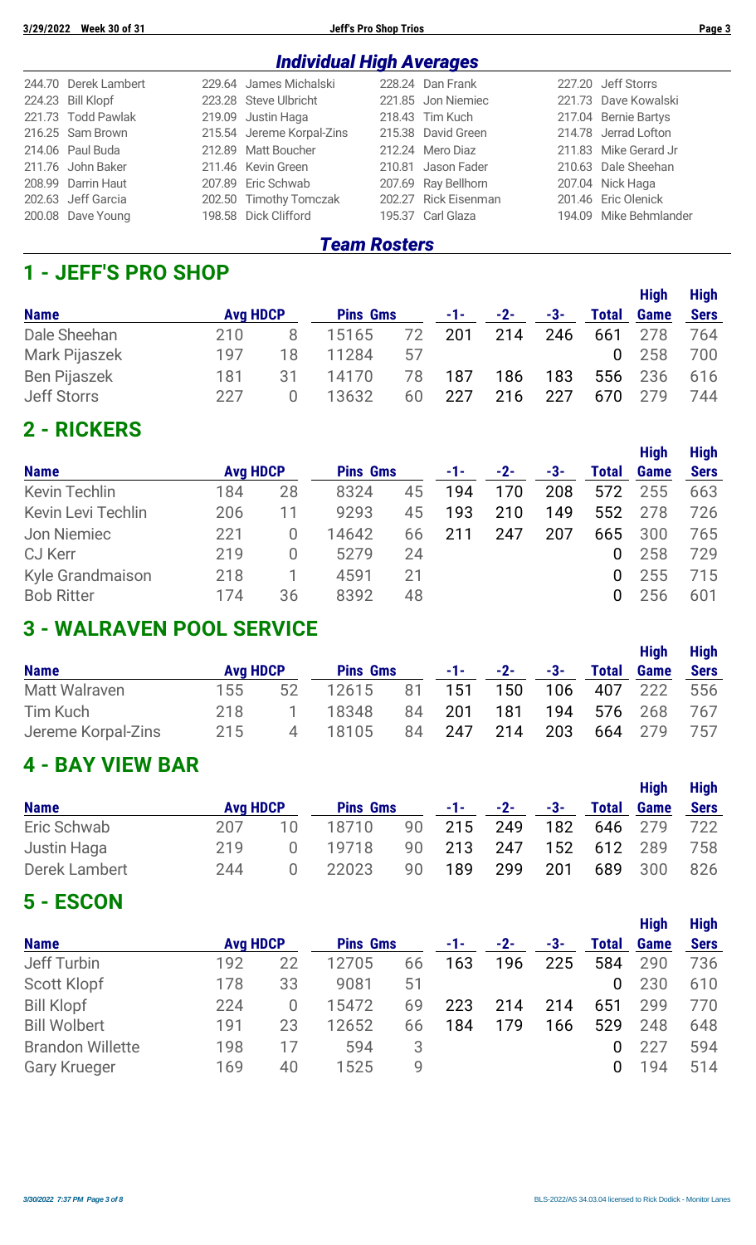| <b>Individual High Averages</b> |  |                           |  |                      |  |                        |  |  |
|---------------------------------|--|---------------------------|--|----------------------|--|------------------------|--|--|
| 244.70 Derek Lambert            |  | 229.64 James Michalski    |  | 228.24 Dan Frank     |  | 227.20 Jeff Storrs     |  |  |
| 224.23 Bill Klopf               |  | 223.28 Steve Ulbricht     |  | 221.85 Jon Niemiec   |  | 221.73 Dave Kowalski   |  |  |
| 221.73 Todd Pawlak              |  | 219.09 Justin Haga        |  | 218.43 Tim Kuch      |  | 217.04 Bernie Bartys   |  |  |
| 216.25 Sam Brown                |  | 215.54 Jereme Korpal-Zins |  | 215.38 David Green   |  | 214.78 Jerrad Lofton   |  |  |
| 214.06 Paul Buda                |  | 212.89 Matt Boucher       |  | 212.24 Mero Diaz     |  | 211.83 Mike Gerard Jr  |  |  |
| 211.76 John Baker               |  | 211.46 Kevin Green        |  | 210.81 Jason Fader   |  | 210.63 Dale Sheehan    |  |  |
| 208.99 Darrin Haut              |  | 207.89 Eric Schwab        |  | 207.69 Ray Bellhorn  |  | 207.04 Nick Haga       |  |  |
| 202.63 Jeff Garcia              |  | 202.50 Timothy Tomczak    |  | 202.27 Rick Eisenman |  | 201.46 Eric Olenick    |  |  |
| 200.08 Dave Young               |  | 198.58 Dick Clifford      |  | 195.37 Carl Glaza    |  | 194.09 Mike Behmlander |  |  |

#### *Team Rosters*

#### **1 - JEFF'S PRO SHOP**

|                     |                 |    |                 |    |       |       |     |              | <b>High</b> | <b>High</b> |
|---------------------|-----------------|----|-----------------|----|-------|-------|-----|--------------|-------------|-------------|
| <b>Name</b>         | <b>Avg HDCP</b> |    | <b>Pins Gms</b> |    | $-1-$ | $-2-$ | -3- | <b>Total</b> | <b>Game</b> | <b>Sers</b> |
| Dale Sheehan        | 210             |    | 15165           | 72 | 201   | 214   | 246 | 661          | 278         | 764         |
| Mark Pijaszek       | 197             | 18 | 11284           | 57 |       |       |     | $\Omega$     | 258         | 700         |
| <b>Ben Pijaszek</b> | 181             | 31 | 14170           | 78 | 187   | 186   | 183 | 556          | 236         | 616         |
| <b>Jeff Storrs</b>  | 227             |    | 13632           | 60 | 227   | 216   | 227 | 670          | 279         | 744         |

#### **2 - RICKERS**

|                           |                 |    |                 |    |     |       |     |                | <b>High</b> | <b>High</b> |
|---------------------------|-----------------|----|-----------------|----|-----|-------|-----|----------------|-------------|-------------|
| <b>Name</b>               | <b>Avg HDCP</b> |    | <b>Pins Gms</b> |    | -1- | $-2-$ | -3- | <b>Total</b>   | <b>Game</b> | <b>Sers</b> |
| <b>Kevin Techlin</b>      | 184             | 28 | 8324            | 45 | 194 | 170   | 208 | 572            | 255         | 663         |
| <b>Kevin Levi Techlin</b> | 206             | 11 | 9293            | 45 | 193 | 210   | 149 | 552            | 278         | 726         |
| Jon Niemiec               | 221             | 0  | 14642           | 66 | 211 | 247   | 207 | 665            | 300         | 765         |
| <b>CJ Kerr</b>            | 219             | 0  | 5279            | 24 |     |       |     | $\overline{0}$ | 258         | 729         |
| Kyle Grandmaison          | 218             |    | 4591            | 21 |     |       |     | 0              | 255         | 715         |
| <b>Bob Ritter</b>         | 174             | 36 | 8392            | 48 |     |       |     | $\mathbf{0}$   | 256         | 601         |

### **3 - WALRAVEN POOL SERVICE**

|                    |                 |                |                 |    |            |       |     |              | <b>High</b> | <b>High</b> |
|--------------------|-----------------|----------------|-----------------|----|------------|-------|-----|--------------|-------------|-------------|
| <b>Name</b>        | <b>Avg HDCP</b> |                | <b>Pins Gms</b> |    | $-1$ - $-$ | $-2-$ | -3- | <b>Total</b> | <b>Game</b> | <b>Sers</b> |
| Matt Walraven      | 155             | 52             | 12615           | 81 | 151        | 150   |     | 106 407 222  |             | 556         |
| Tim Kuch           | 218             |                | 18348           |    | 84 201     | 181   |     | 194 576 268  |             | 767         |
| Jereme Korpal-Zins | 215             | $\overline{4}$ | 18105           |    | 84 247     | 214   | 203 |              | 664 279     | 757         |

### **4 - BAY VIEW BAR**

| <b>Name</b>   | <b>Avg HDCP</b> |     | <b>Pins Gms</b> |    | $-1-$ | $-2-$ | $-3-$ | <b>Total</b> | <b>High</b><br><b>Game</b> | <b>High</b><br><b>Sers</b> |
|---------------|-----------------|-----|-----------------|----|-------|-------|-------|--------------|----------------------------|----------------------------|
| Eric Schwab   | 207             | 1 Q | 18710           | 90 | 215   | 249   | 182   |              | 646 279                    | 722                        |
| Justin Haga   | 219             |     | 19718           | 90 | 213   | 247   | 152   |              | 612 289                    | 758                        |
| Derek Lambert | 244             |     | 22023           | 90 | 189   | 299   | 201   | 689          | 300                        | 826                        |

### **5 - ESCON**

|                         |                 |          |                 |    |     |     |     |              | <b>High</b> | <b>High</b> |
|-------------------------|-----------------|----------|-----------------|----|-----|-----|-----|--------------|-------------|-------------|
| <b>Name</b>             | <b>Avg HDCP</b> |          | <b>Pins Gms</b> |    | -1- | -2- | -3- | <b>Total</b> | <b>Game</b> | <b>Sers</b> |
| Jeff Turbin             | 192             | 22       | 12705           | 66 | 163 | 196 | 225 | 584          | 290         | 736         |
| <b>Scott Klopf</b>      | 178             | 33       | 9081            | 51 |     |     |     | 0            | 230         | 610         |
| <b>Bill Klopf</b>       | 224             | $\Omega$ | 15472           | 69 | 223 | 214 | 214 | 651          | 299         | 770         |
| <b>Bill Wolbert</b>     | 191             | 23       | 12652           | 66 | 184 | 179 | 166 | 529          | 248         | 648         |
| <b>Brandon Willette</b> | 198             | 17       | 594             | 3  |     |     |     |              | 227         | 594         |
| <b>Gary Krueger</b>     | 169             | 40       | 1525            | 9  |     |     |     | 0            | 94          | 514         |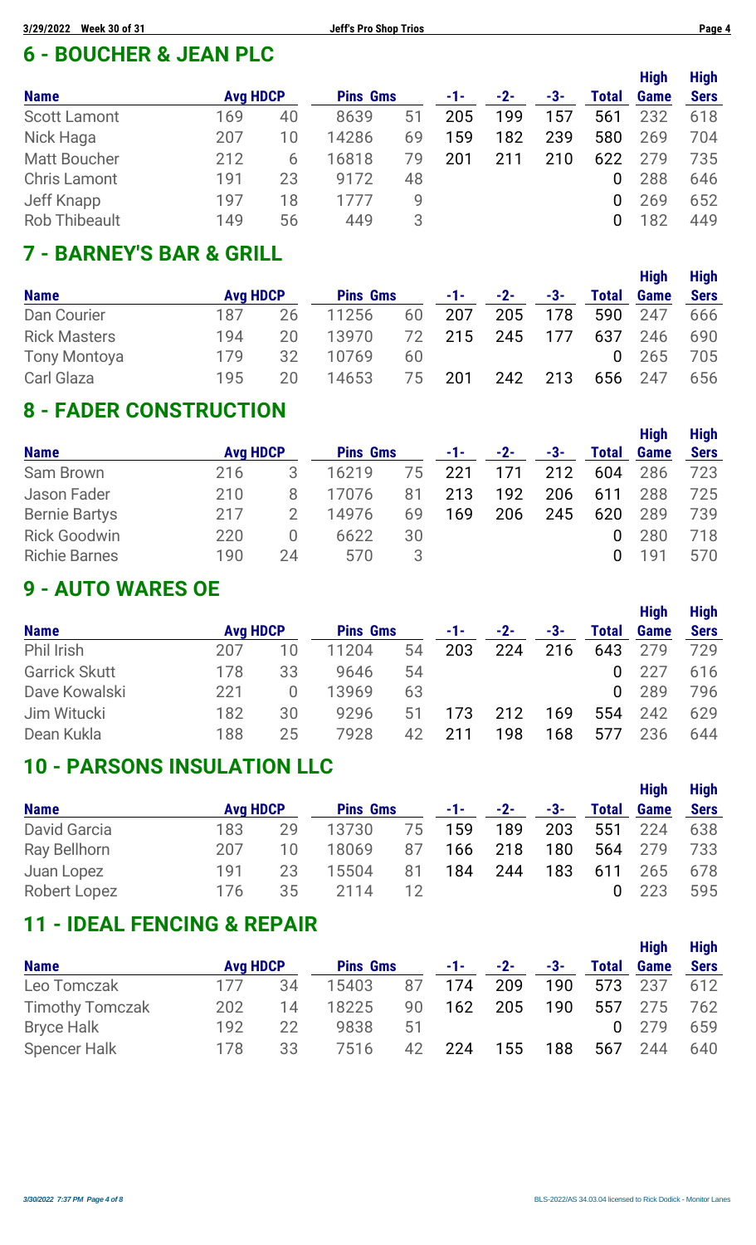### **6 - BOUCHER & JEAN PLC**

|                      |                 |    |                 |    |     |     |     |              | <b>High</b> | <b>High</b> |
|----------------------|-----------------|----|-----------------|----|-----|-----|-----|--------------|-------------|-------------|
| <b>Name</b>          | <b>Avg HDCP</b> |    | <b>Pins Gms</b> |    | -1- | -2- | -3- | <b>Total</b> | <b>Game</b> | <b>Sers</b> |
| <b>Scott Lamont</b>  | 169             | 40 | 8639            | 51 | 205 | 199 | 157 | 561          | 232         | 618         |
| Nick Haga            | 207             | 10 | 14286           | 69 | 159 | 182 | 239 | 580          | 269         | 704         |
| <b>Matt Boucher</b>  | 212             | 6  | 16818           | 79 | 201 | 211 | 210 | 622          | 279         | 735         |
| <b>Chris Lamont</b>  | 191             | 23 | 9172            | 48 |     |     |     | 0            | 288         | 646         |
| Jeff Knapp           | 197             | 18 | 1777            | 9  |     |     |     | 0            | 269         | 652         |
| <b>Rob Thibeault</b> | 149             | 56 | 449             | 3  |     |     |     |              | 82          | 449         |

## **7 - BARNEY'S BAR & GRILL**

|                     |                 |     |                 |    |            |       |     |              | <b>High</b>  | <b>High</b> |
|---------------------|-----------------|-----|-----------------|----|------------|-------|-----|--------------|--------------|-------------|
| <b>Name</b>         | <b>Avg HDCP</b> |     | <b>Pins Gms</b> |    | $-1$ – $-$ | $-2-$ | -3- | <b>Total</b> | <b>Game</b>  | <b>Sers</b> |
| Dan Courier         | 187             | 26  | 11256           | 60 | 207        | 205   | 178 | 590          | 247          | 666         |
| <b>Rick Masters</b> | 194             | 20. | 13970           | 72 | 215        | 245   | 177 | 637          | 246          | 690         |
| <b>Tony Montoya</b> | 179             | 32  | 10769           | 60 |            |       |     |              | $0\quad 265$ | 705         |
| Carl Glaza          | 195             | 20  | 14653           | 75 | 201        | 242   | 213 | 656          | -247         | 656         |

### **8 - FADER CONSTRUCTION**

| <b>Name</b>          | <b>Avg HDCP</b> |        | <b>Pins Gms</b> |    | -1- | $-2-$ | -3- | Total | <b>High</b><br><b>Game</b> | <b>High</b><br><b>Sers</b> |
|----------------------|-----------------|--------|-----------------|----|-----|-------|-----|-------|----------------------------|----------------------------|
|                      |                 |        |                 |    |     |       |     |       |                            |                            |
| Sam Brown            | 216             | 3      | 16219           | 75 | 221 | 171   | 212 | 604   | 286                        | 723                        |
| Jason Fader          | 210             | 8      | 17076           | 81 | 213 | 192   | 206 | 611   | 288                        | 725                        |
| <b>Bernie Bartys</b> | 217             |        | 14976           | 69 | 169 | 206   | 245 | 620   | 289                        | 739                        |
| <b>Rick Goodwin</b>  | 220             | $\cup$ | 6622            | 30 |     |       |     | 0     | 280                        | 718                        |
| <b>Richie Barnes</b> | 190             | 24     | 570             | 3  |     |       |     | 0     | 191                        | 570                        |

#### **9 - AUTO WARES OE**

|                      |                 |                  |                 |    |     |     |     |              | <b>High</b> | <b>High</b> |
|----------------------|-----------------|------------------|-----------------|----|-----|-----|-----|--------------|-------------|-------------|
| <b>Name</b>          | <b>Avg HDCP</b> |                  | <b>Pins Gms</b> |    | -1- | -2- | -3- | <b>Total</b> | <b>Game</b> | <b>Sers</b> |
| Phil Irish           | 207             | 10               | 11204           | 54 | 203 | 224 | 216 | 643          | 279         | 729         |
| <b>Garrick Skutt</b> | 178             | 33               | 9646            | 54 |     |     |     | 0            | 227         | 616         |
| Dave Kowalski        | 221             | $\left( \right)$ | 13969           | 63 |     |     |     | 0            | 289         | 796         |
| Jim Witucki          | 182             | 30               | 9296            | 51 | 173 | 212 | 169 | 554          | 242         | 629         |
| Dean Kukla           | 188             | 25               | 7928            | 42 | 211 | 198 | 168 | 577          | 236         | 644         |

#### **10 - PARSONS INSULATION LLC**

|                     |                 |    |                 |    |     |            |       |              | <b>High</b> | <b>High</b> |
|---------------------|-----------------|----|-----------------|----|-----|------------|-------|--------------|-------------|-------------|
| <b>Name</b>         | <b>Avg HDCP</b> |    | <b>Pins Gms</b> |    |     | $-1 - 2 -$ | $-3-$ | <b>Total</b> | <b>Game</b> | <b>Sers</b> |
| <b>David Garcia</b> | 183             | 29 | 13730           | 75 | 159 | 189        | 203   | 551          | 224         | 638         |
| Ray Bellhorn        | 207             | 10 | 18069           | 87 | 166 | 218        | 180   |              | 564 279     | 733         |
| Juan Lopez          | 191             | 23 | 15504           | 81 | 184 | 244        | 183   | 611          | 265         | 678         |
| Robert Lopez        | 176             | 35 | 2114            | 12 |     |            |       |              | 223         | 595         |

### **11 - IDEAL FENCING & REPAIR**

|                        |                 |    |                 |    |       |       |     |              | <b>High</b> | <b>High</b> |
|------------------------|-----------------|----|-----------------|----|-------|-------|-----|--------------|-------------|-------------|
| <b>Name</b>            | <b>Avg HDCP</b> |    | <b>Pins Gms</b> |    | $-1-$ | $-2-$ | -3- | <b>Total</b> | <b>Game</b> | <b>Sers</b> |
| Leo Tomczak            | 177             | 34 | 15403           | 87 | 174   | 209   | 190 |              | 573 237     | 612         |
| <b>Timothy Tomczak</b> | 202             | 14 | 18225           | 90 | 162   | 205   | 190 | 557          | 275         | 762         |
| <b>Bryce Halk</b>      | 192             | 22 | 9838            | 51 |       |       |     |              | 0, 279      | 659         |
| <b>Spencer Halk</b>    | 178             | 33 | 7516            | 42 | 224   | 155   | 188 | 567          | 244         | 640         |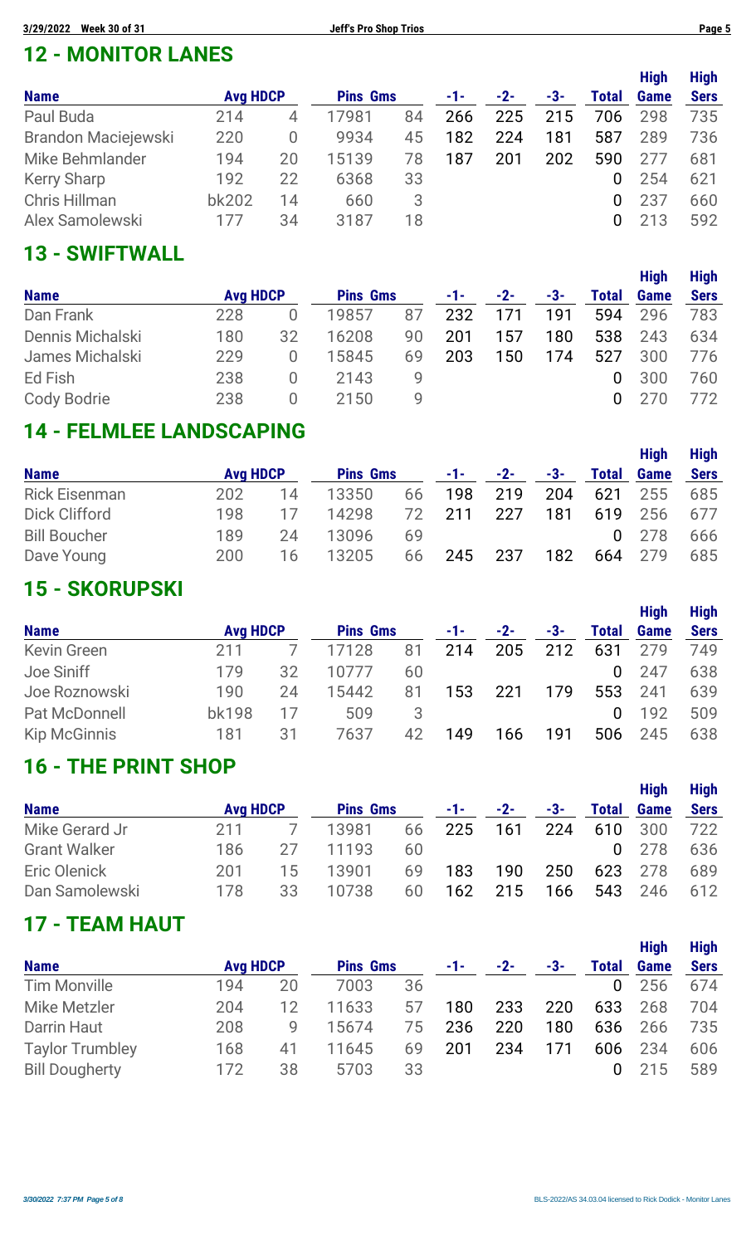### **12 - MONITOR LANES**

|                     |                 |    |                 |    |     |       |     |              | <b>High</b> | <b>High</b> |
|---------------------|-----------------|----|-----------------|----|-----|-------|-----|--------------|-------------|-------------|
| <b>Name</b>         | <b>Avg HDCP</b> |    | <b>Pins Gms</b> |    | -1- | $-2-$ | -3- | <b>Total</b> | <b>Game</b> | <b>Sers</b> |
| Paul Buda           | 214             | 4  | 17981           | 84 | 266 | 225   | 215 | 706          | 298         | 735         |
| Brandon Maciejewski | 220             | O  | 9934            | 45 | 182 | 224   | 181 | 587          | 289         | 736         |
| Mike Behmlander     | 194             | 20 | 15139           | 78 | 187 | 201   | 202 | 590          |             | 681         |
| <b>Kerry Sharp</b>  | 192             | 22 | 6368            | 33 |     |       |     | 0            | 254         | 621         |
| Chris Hillman       | bk202           | 14 | 660             | 3  |     |       |     | 0            | 237         | 660         |
| Alex Samolewski     | 177             | 34 | 3187            | 18 |     |       |     | 0            | 213         | 592         |

## **13 - SWIFTWALL**

|                  |                 |        |                 |    |       |       |     |          | <b>High</b> | <b>High</b> |
|------------------|-----------------|--------|-----------------|----|-------|-------|-----|----------|-------------|-------------|
| <b>Name</b>      | <b>Avg HDCP</b> |        | <b>Pins Gms</b> |    | $-1-$ | $-2-$ | -3- | Total    | <b>Game</b> | <b>Sers</b> |
| Dan Frank        | 228             |        | 19857           | 87 | 232   | 171   | 191 | 594      | 296         | 783         |
| Dennis Michalski | 180             | 32     | 16208           | 90 | 201   | 157   | 180 | 538      | 243         | 634         |
| James Michalski  | 229             |        | 15845           | 69 | 203   | 150   | 174 | 527      | 300         | 776         |
| Ed Fish          | 238             | $\cup$ | 2143            | 9  |       |       |     | 0        | 300         | 760         |
| Cody Bodrie      | 238             |        | 2150            | g  |       |       |     | $\Omega$ |             | 772.        |

### **14 - FELMLEE LANDSCAPING**

|                      |                 |    |                 |    |       |       |     |              | <b>High</b>  | <b>High</b> |
|----------------------|-----------------|----|-----------------|----|-------|-------|-----|--------------|--------------|-------------|
| <b>Name</b>          | <b>Avg HDCP</b> |    | <b>Pins Gms</b> |    | $-1-$ | $-2-$ | -3- | <b>Total</b> | <b>Game</b>  | <b>Sers</b> |
| <b>Rick Eisenman</b> | 202             | 14 | 13350           | 66 | 198   | 219   | 204 | 621          | 255          | 685         |
| Dick Clifford        | 198             | 17 | 14298           | 72 | 211   | 227   | 181 | 619          | 256          | 677         |
| <b>Bill Boucher</b>  | 189             | 24 | 13096           | 69 |       |       |     |              | $0\quad 278$ | 666         |
| Dave Young           | 200             | 16 | 13205           | 66 | 245   | 237   | 182 | 664          | 279          | 685         |

### **15 - SKORUPSKI**

|                     |                 |    |                 |    |     |       |       |              | <b>High</b> | <b>High</b> |
|---------------------|-----------------|----|-----------------|----|-----|-------|-------|--------------|-------------|-------------|
| <b>Name</b>         | <b>Avg HDCP</b> |    | <b>Pins Gms</b> |    | -1- | $-2-$ | $-3-$ | <b>Total</b> | <b>Game</b> | <b>Sers</b> |
| <b>Kevin Green</b>  | 211             |    | 17128           | 81 | 214 | 205   | 212   | 631          | 279         | 749         |
| Joe Siniff          | 179             | 32 | 10777           | 60 |     |       |       | $\mathbf 0$  | 247         | 638         |
| Joe Roznowski       | 190             | 24 | 15442           | 81 | 153 | 221   | 179   | 553          | 241         | 639         |
| Pat McDonnell       | <b>bk198</b>    | 17 | 509             | 3  |     |       |       | 0            | 192         | 509         |
| <b>Kip McGinnis</b> | 181             | 31 | 7637            | 42 | 149 | 166   | 191   | 506          | 245         | 638         |

### **16 - THE PRINT SHOP**

|                     |                 |    |                 |    |            |       |     |              | <b>High</b>  | <b>High</b> |
|---------------------|-----------------|----|-----------------|----|------------|-------|-----|--------------|--------------|-------------|
| <b>Name</b>         | <b>Avg HDCP</b> |    | <b>Pins Gms</b> |    | $-1$ – $-$ | $-2-$ | -3- | <b>Total</b> | <b>Game</b>  | <b>Sers</b> |
| Mike Gerard Jr      | 211             |    | 13981           | 66 | 225        | 161   | 224 | 610          | - 300        | 722         |
| <b>Grant Walker</b> | 186             | 27 | 11193           | 60 |            |       |     |              | $0\quad 278$ | 636         |
| Eric Olenick        | 201             | 15 | 13901           | 69 | 183        | 190   | 250 |              | 623 278      | 689         |
| Dan Samolewski      | 178             | 33 | 10738           | 60 | 162        | 215   | 166 | 543          | -246         | 612         |

### **17 - TEAM HAUT**

|                        |                 |    |                 |    |       |       |       |              | <b>High</b> | <b>High</b> |
|------------------------|-----------------|----|-----------------|----|-------|-------|-------|--------------|-------------|-------------|
| <b>Name</b>            | <b>Avg HDCP</b> |    | <b>Pins Gms</b> |    | $-1-$ | $-2-$ | $-3-$ | <b>Total</b> | <b>Game</b> | <b>Sers</b> |
| <b>Tim Monville</b>    | 194             | 20 | 7003            | 36 |       |       |       | $\mathbf{0}$ | 256         | 674         |
| <b>Mike Metzler</b>    | 204             | 12 | 11633           | 57 | 180   | 233   | 220   | 633          | 268         | 704         |
| Darrin Haut            | 208             | 9  | 15674           | 75 | 236   | 220   | 180   | 636          | 266         | 735         |
| <b>Taylor Trumbley</b> | 168             | 41 | 11645           | 69 | 201   | 234   | 171   | 606          | 234         | 606         |
| <b>Bill Dougherty</b>  | 172             | 38 | 5703            | 33 |       |       |       |              | 215         | 589         |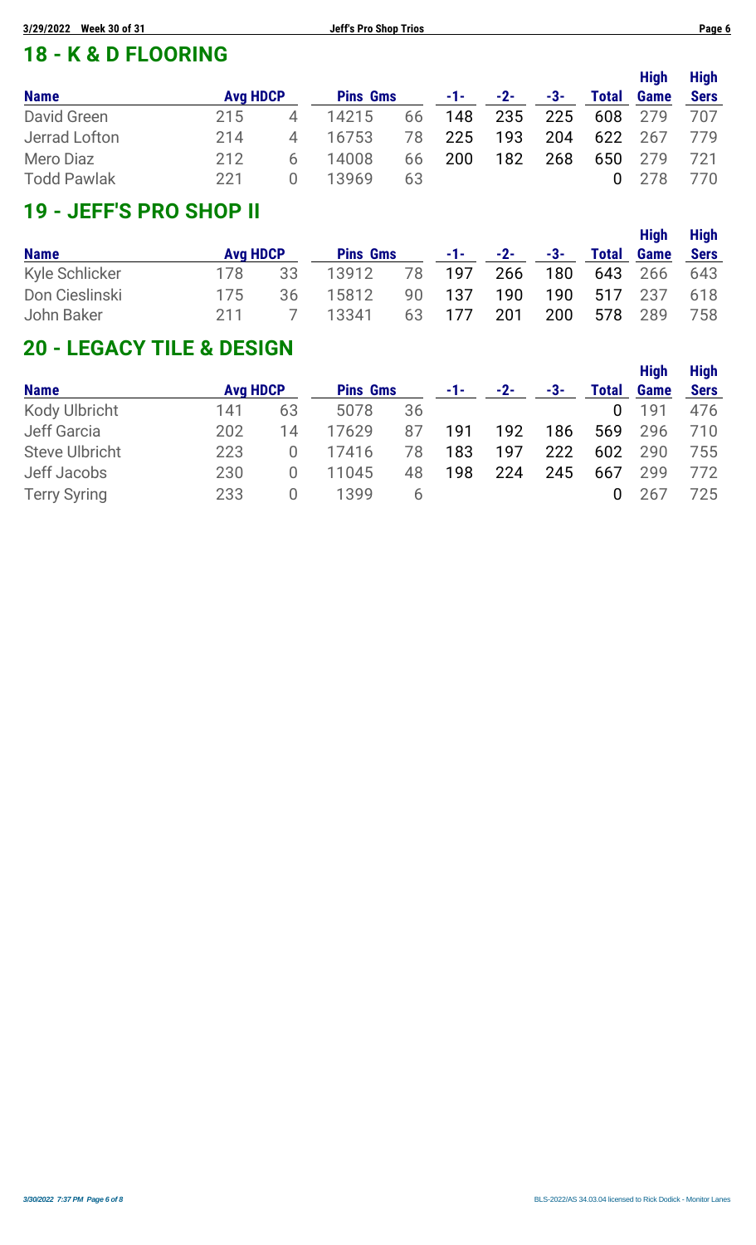### **18 - K & D FLOORING**

|                    |                 |   |                 |    |            |                |     |              | <b>High</b> | <b>High</b> |
|--------------------|-----------------|---|-----------------|----|------------|----------------|-----|--------------|-------------|-------------|
| <b>Name</b>        | <b>Avg HDCP</b> |   | <b>Pins Gms</b> |    |            | $-1$ $-2$ $-2$ | -3- | <b>Total</b> | <b>Game</b> | <b>Sers</b> |
| David Green        | 215             | 4 | 14215           | 66 | 148        | 235            | 225 | 608 279      |             | - 707       |
| Jerrad Lofton      | 214             | 4 | 16753           | 78 | 225        | 193            | 204 |              | 622 267     | 779         |
| Mero Diaz          | 212             | 6 | 14008           | 66 | <b>200</b> | 182            | 268 |              | 650 279     | 721         |
| <b>Todd Pawlak</b> | -221            |   | 13969           | 63 |            |                |     |              | 0.278       | 770         |

## **19 - JEFF'S PRO SHOP II**

| <b>Name</b>    | <b>Avg HDCP</b> |    | <b>Pins Gms</b>      |            | $-1$ - $-2$ - $-3$ - |     | <b>Total</b> | <b>High</b><br><b>Game</b> | <b>High</b><br>Sers |
|----------------|-----------------|----|----------------------|------------|----------------------|-----|--------------|----------------------------|---------------------|
| Kyle Schlicker | 178             | 33 | 13912 78 197 266 180 |            |                      |     |              | 643 266 643                |                     |
| Don Cieslinski | 175             | 36 | 15812                | 90 137     |                      |     |              | 190 190 517 237 618        |                     |
| John Baker     | 211             |    | 7 13341              | 63 177 201 |                      | 200 | 578 289      |                            | 758                 |

### **20 - LEGACY TILE & DESIGN**

|                       |                 |                  |                 |    |       |       |     |              | <b>High</b> | <b>High</b> |
|-----------------------|-----------------|------------------|-----------------|----|-------|-------|-----|--------------|-------------|-------------|
| <b>Name</b>           | <b>Avg HDCP</b> |                  | <b>Pins Gms</b> |    | $-1-$ | $-2-$ | -3- | <b>Total</b> | <b>Game</b> | <b>Sers</b> |
| <b>Kody Ulbricht</b>  | 141             | 63               | 5078            | 36 |       |       |     | 0            | 191         | 476         |
| Jeff Garcia           | 202             | 14               | 17629           | 87 | 191   | 192   | 186 | 569          | 296         | 710         |
| <b>Steve Ulbricht</b> | 223             | 0                | 17416           | 78 | 183   | 197   | 222 | 602          | 290         | 755         |
| Jeff Jacobs           | 230             | $\left( \right)$ | 11045           | 48 | 198   | 224   | 245 | 667          | 299         | 772         |
| <b>Terry Syring</b>   | 233             | $\cup$           | 1399            | b  |       |       |     | 0            | 26/         | 725.        |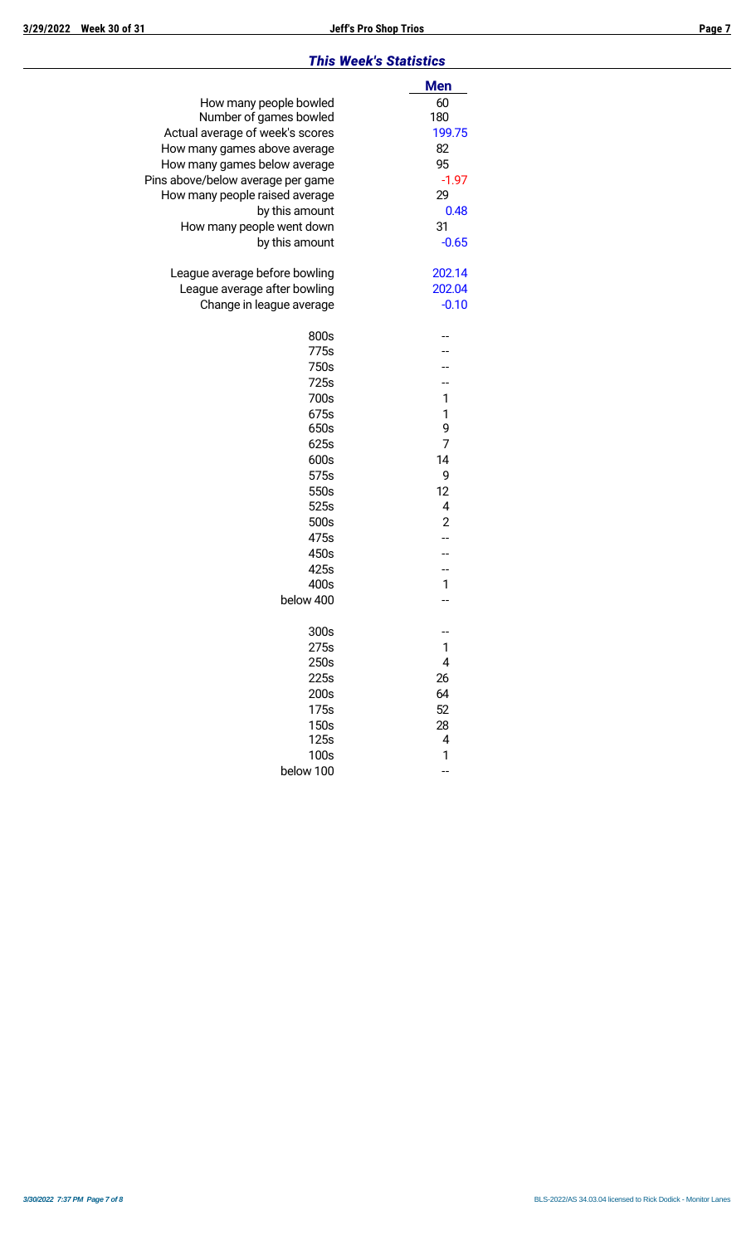#### *This Week's Statistics*

|                                   | <b>Men</b>     |
|-----------------------------------|----------------|
| How many people bowled            | 60             |
| Number of games bowled            | 180            |
| Actual average of week's scores   | 199.75         |
| How many games above average      | 82             |
| How many games below average      | 95             |
| Pins above/below average per game | $-1.97$        |
| How many people raised average    | 29             |
| by this amount                    | 0.48           |
| How many people went down         | 31             |
| by this amount                    | $-0.65$        |
|                                   |                |
| League average before bowling     | 202.14         |
| League average after bowling      | 202.04         |
| Change in league average          | $-0.10$        |
|                                   |                |
| 800s                              |                |
| 775s                              |                |
| 750s                              |                |
| 725s                              |                |
| 700s                              | 1              |
| 675s                              | 1              |
| 650s                              | 9              |
| 625s                              | $\overline{7}$ |
| 600s                              | 14             |
| 575s                              | 9              |
| 550s                              | 12             |
| 525s                              | 4              |
| 500s                              | $\overline{2}$ |
| 475s                              |                |
| 450s                              |                |
| 425s                              |                |
| 400s                              | 1              |
| below 400                         |                |
|                                   |                |
| 300s                              | --             |
| 275s                              | 1              |
| 250s                              | 4              |
| 225s                              | 26             |
| 200s                              | 64             |
| 175s                              | 52             |
| 150s                              | 28             |
| 125s                              | 4              |
| 100s                              | 1              |
| below 100                         |                |